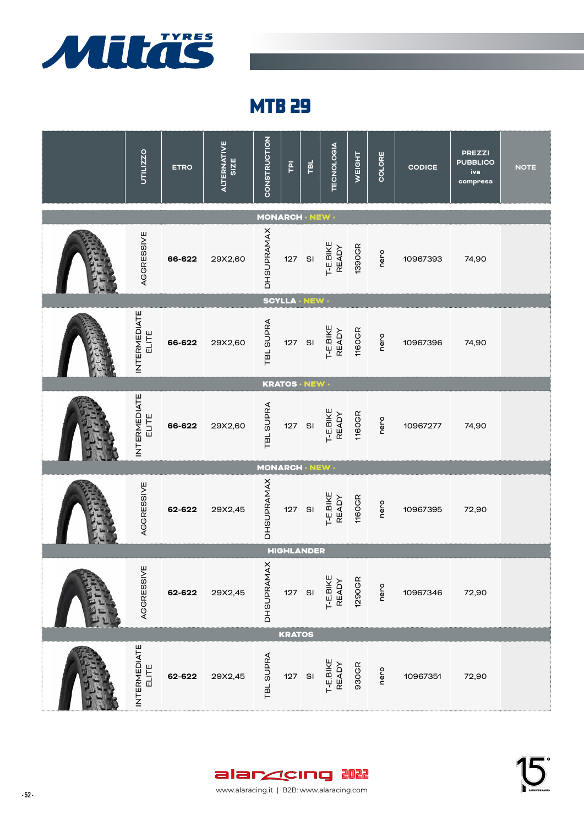

| UTILIZZO                     | <b>ETRO</b> | <b>ALTERNATIVE</b><br>SIZE | CONSTRUCTION           | $\overline{\mathsf{P}}$ | TBL           | <b>TECNOLOGIA</b>        | WEIGHT        | COLORE | <b>CODICE</b> | <b>PREZZI</b><br><b>PUBBLICO</b><br>iva<br>compresa | <b>NOTE</b> |
|------------------------------|-------------|----------------------------|------------------------|-------------------------|---------------|--------------------------|---------------|--------|---------------|-----------------------------------------------------|-------------|
|                              |             |                            | <b>MONARCH · NEW ·</b> |                         |               |                          |               |        |               |                                                     |             |
| AGGRESSIVE                   | 66-622      | 29X2,60                    | <b>DHSUPRAMAX</b>      | 127 SI                  |               | T-E.BIKE<br>READY        | 1390GR        | nero   | 10967393      | 74,90                                               |             |
|                              |             |                            |                        | <b>SCYLLA · NEW ·</b>   |               |                          |               |        |               |                                                     |             |
| <b>INTERMEDIATE</b><br>ELITE | 66-622      | 29X2,60                    | <b>TBL SUPRA</b>       | 127                     | $\mathsf{SI}$ | T-E.BIKE<br><b>READY</b> | <b>1160GR</b> | nero   | 10967396      | 74,90                                               |             |
|                              |             |                            |                        | KRATOS · NEW ·          |               |                          |               |        |               |                                                     |             |
| <b>INTERMEDIATE</b><br>ELITE | 66-622      | 29X2,60                    | TBL SUPRA              | 127                     | $\mathsf{SI}$ | T-E.BIKE<br>READY        | <b>1160GR</b> | nero   | 10967277      | 74,90                                               |             |
|                              |             |                            | MONARCH · NEW ·        |                         |               |                          |               |        |               |                                                     |             |
| AGGRESSIVE                   | 62-622      | 29X2,45                    | <b>DHSUPRAMAX</b>      | 127                     | $\mathsf{SI}$ | T-E.BIKE<br>READY        | <b>1160GR</b> | nero   | 10967395      | 72,90                                               |             |
|                              |             |                            |                        | <b>HIGHLANDER</b>       |               |                          |               |        |               |                                                     |             |
| AGGRESSIVE                   | 62-622      | 29X2,45                    | <b>DHSUPRAMAX</b>      | 127 SI                  |               | T-E.BIKE<br><b>READY</b> | 1290GR        | nero   | 10967346      | 72,90                                               |             |
|                              |             |                            |                        | <b>KRATOS</b>           |               |                          |               |        |               |                                                     |             |
| <b>INTERMEDIATE</b><br>ELITE | 62-622      | 29X2,45                    | TBL SUPRA              | 127                     | SI            | T-E.BIKE<br>READY        | 930GR         | nero   | 10967351      | 72,90                                               |             |



- 52 - 52 - www.alaracing.it | B2B: www.alaracing.com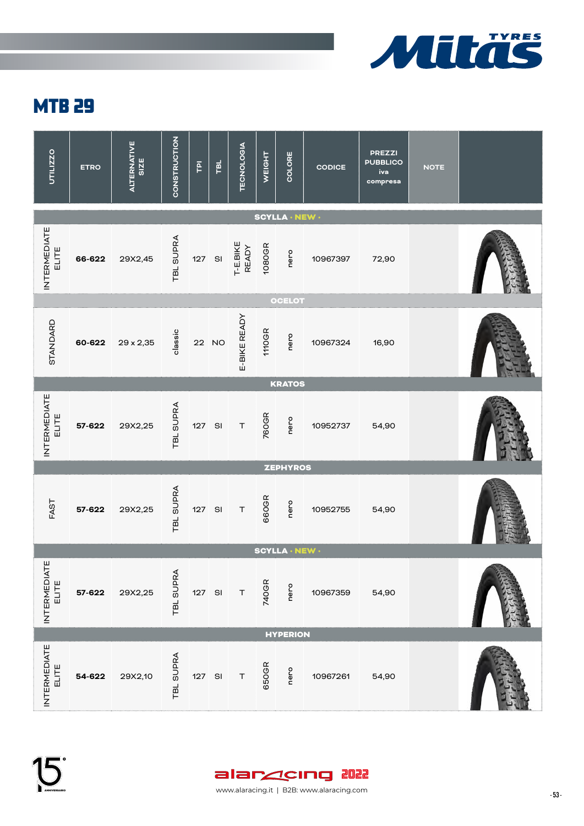

| UTILIZZO                     | <b>ETRO</b> | <b>ALTERNATIVE</b><br>SIZE | CONSTRUCTION     | $\overline{P}$ | TBL           | TECNOLOGIA               | WEIGHT       | COLORE                | <b>CODICE</b> | <b>PREZZI</b><br><b>PUBBLICO</b><br>iva<br>compresa | <b>NOTE</b> |  |
|------------------------------|-------------|----------------------------|------------------|----------------|---------------|--------------------------|--------------|-----------------------|---------------|-----------------------------------------------------|-------------|--|
|                              |             |                            |                  |                |               |                          |              | <b>SCYLLA · NEW ·</b> |               |                                                     |             |  |
| <b>INTERMEDIATE</b><br>ELITE | 66-622      | 29X2,45                    | <b>TBL SUPRA</b> | 127 SI         |               | T-E.BIKE<br><b>READY</b> | 1080GR       | nero                  | 10967397      | 72,90                                               |             |  |
|                              |             |                            |                  |                |               |                          |              | <b>OCELOT</b>         |               |                                                     |             |  |
| STANDARD                     | 60-622      | 29 x 2,35                  | classic          |                | 22 NO         | E-BIKE READY             | <b>110GR</b> | nero                  | 10967324      | 16,90                                               |             |  |
|                              |             |                            |                  |                |               |                          |              | <b>KRATOS</b>         |               |                                                     |             |  |
| <b>INTERMEDIATE</b><br>ELITE | 57-622      | 29X2,25                    | TBL SUPRA        | 127            | $\mathsf{SI}$ | $\top$                   | 760GR        | nero                  | 10952737      | 54,90                                               |             |  |
|                              |             |                            |                  |                |               |                          |              | <b>ZEPHYROS</b>       |               |                                                     |             |  |
| FAST                         | 57-622      | 29X2,25                    | TBL SUPRA        | 127 SI         |               | $\top$                   | 660GR        | nero                  | 10952755      | 54,90                                               |             |  |
|                              |             |                            |                  |                |               |                          |              | <b>SCYLLA · NEW ·</b> |               |                                                     |             |  |
| INTERMEDIATE<br>ELITE        | 57-622      | 29X2,25                    | TBL SUPRA        | 127 SI         |               | $\top$                   | 740GR        | nero                  | 10967359      | 54,90                                               |             |  |
|                              |             |                            |                  |                |               |                          |              | <b>HYPERION</b>       |               |                                                     |             |  |
| <b>INTERMEDIATE</b><br>ELITE | 54-622      | 29X2,10                    | TBL SUPRA        | 127 SI         |               | $\top$                   | 650GR        | nero                  | 10967261      | 54,90                                               |             |  |

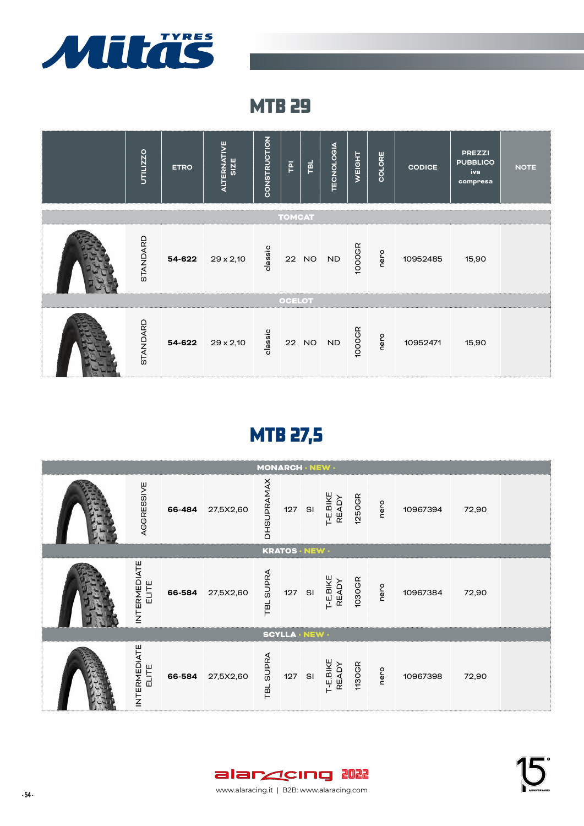



# MTB 27,5

|                              |        |           | <b>MONARCH · NEW ·</b> |                       |                   |        |      |          |       |  |
|------------------------------|--------|-----------|------------------------|-----------------------|-------------------|--------|------|----------|-------|--|
| AGGRESSIVE                   | 66-484 | 27,5X2,60 | DHSUPRAMAX             | 127 SI                | T-E.BIKE<br>READY | 1250GR | nero | 10967394 | 72,90 |  |
|                              |        |           |                        | <b>KRATOS · NEW ·</b> |                   |        |      |          |       |  |
| <b>INTERMEDIATE</b><br>ELITE | 66-584 | 27,5X2,60 | <b>SUPRA</b><br>TBL    | 127 SI                | T-E.BIKE<br>READY | 1030GR | nero | 10967384 | 72,90 |  |
|                              |        |           |                        | <b>SCYLLA · NEW ·</b> |                   |        |      |          |       |  |
| <b>INTERMEDIATE</b><br>ELITE | 66-584 | 27,5X2,60 | <b>SUPRA</b><br>TBL    | 127 SI                | T-E.BIKE<br>READY | 1130GR | nero | 10967398 | 72,90 |  |

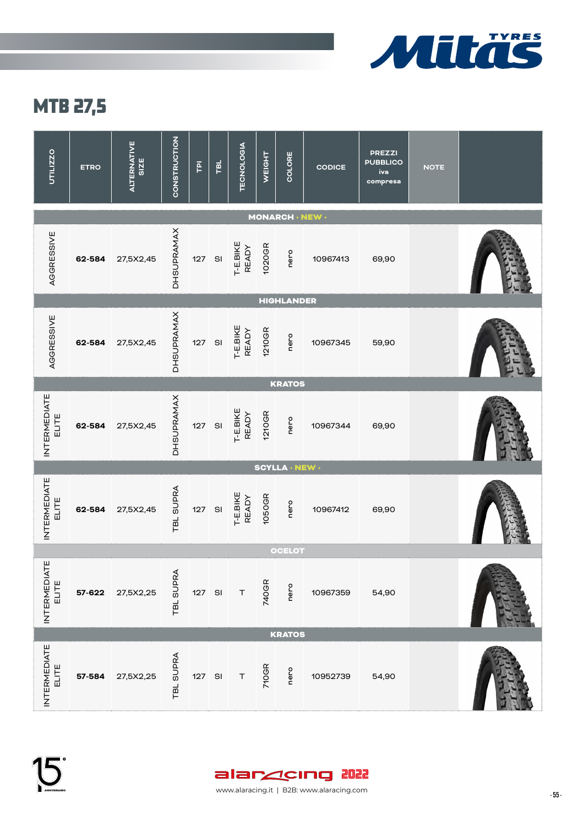

## MTB 27,5

| UTILIZZO                     | <b>ETRO</b> | <b>ALTERNATIVE</b><br>SIZE | <b>CONSTRUCTION</b> | $\overline{P}$ | TBL | <b>TECNOLOGIA</b>        | WEIGHT       | COLORE                 | <b>CODICE</b> | <b>PREZZI</b><br><b>PUBBLICO</b><br>iva<br>compresa | <b>NOTE</b> |  |
|------------------------------|-------------|----------------------------|---------------------|----------------|-----|--------------------------|--------------|------------------------|---------------|-----------------------------------------------------|-------------|--|
|                              |             |                            |                     |                |     |                          |              | <b>MONARCH · NEW ·</b> |               |                                                     |             |  |
| AGGRESSIVE                   | 62-584      | 27,5X2,45                  | <b>DHSUPRAMAX</b>   | 127 SI         |     | T-E.BIKE<br><b>READY</b> | 1020GR       | nero                   | 10967413      | 69,90                                               |             |  |
|                              |             |                            |                     |                |     |                          |              | <b>HIGHLANDER</b>      |               |                                                     |             |  |
| AGGRESSIVE                   | 62-584      | 27,5X2,45                  | <b>DHSUPRAMAX</b>   | 127            | SI  | T-E.BIKE<br><b>READY</b> | 1210GR       | nero                   | 10967345      | 59,90                                               |             |  |
|                              |             |                            |                     |                |     |                          |              | <b>KRATOS</b>          |               |                                                     |             |  |
| <b>INTERMEDIATE</b><br>ELITE | 62-584      | 27,5X2,45                  | <b>DHSUPRAMAX</b>   | 127            | SI  | T-E.BIKE<br><b>READY</b> | 1210GR       | nero                   | 10967344      | 69,90                                               |             |  |
|                              |             |                            |                     |                |     |                          |              | <b>SCYLLA · NEW ·</b>  |               |                                                     |             |  |
| <b>INTERMEDIATE</b><br>ELITE | 62-584      | 27,5X2,45                  | TBL SUPRA           | 127 SI         |     | T-E.BIKE<br><b>READY</b> | 1050GR       | nero                   | 10967412      | 69,90                                               |             |  |
|                              |             |                            |                     |                |     |                          |              | <b>OCELOT</b>          |               |                                                     |             |  |
| <b>INTERMEDIATE</b><br>ELITE | 57-622      | 27,5X2,25                  | TBL SUPRA           | 127 SI         |     | T                        | 740GR        | nero                   | 10967359      | 54,90                                               |             |  |
|                              |             |                            |                     |                |     |                          |              | <b>KRATOS</b>          |               |                                                     |             |  |
| INTERMEDIATE<br>ELITE        | 57-584      | 27,5X2,25                  | TBL SUPRA           | 127 SI         |     | $\top$                   | <b>710GR</b> | nero                   | 10952739      | 54,90                                               |             |  |

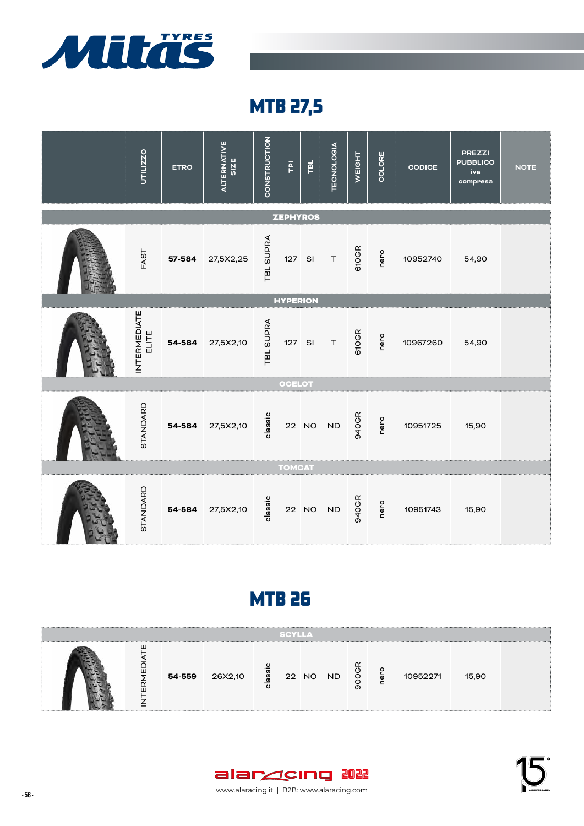

MTB 27,5



#### **MTB 26**

|             |        |         |     | <b>SCYLLA</b> |          |   |          |       |  |
|-------------|--------|---------|-----|---------------|----------|---|----------|-------|--|
| ш<br>∼<br>ш | 54-559 | 26X2,10 | ass |               | 22 NO ND | თ | 10952271 | 15,90 |  |



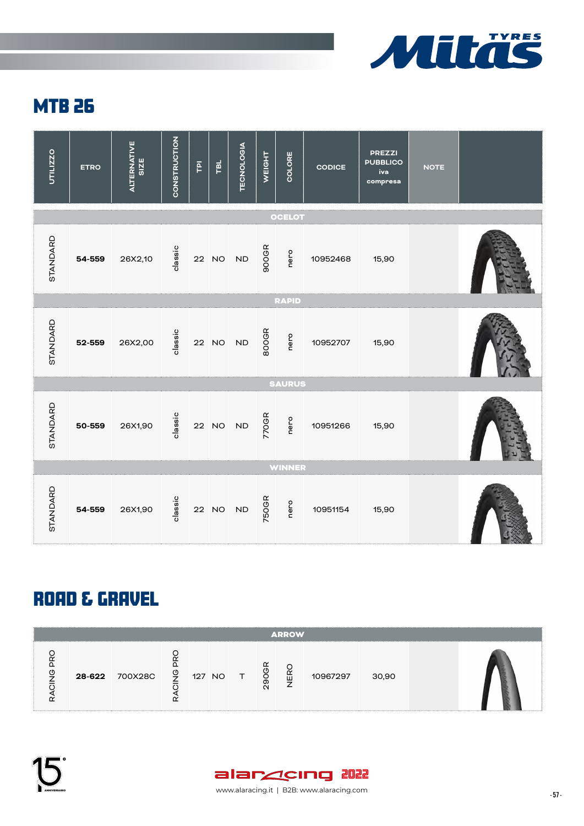



#### ROAD & GRAVEL

|    |        |         |                          |        |                                             |                            | <b>ARROW</b> |          |       |  |
|----|--------|---------|--------------------------|--------|---------------------------------------------|----------------------------|--------------|----------|-------|--|
| (Ŋ | 28-622 | 700X28C | $\overline{\mathcal{Q}}$ | 127 NO | $\begin{matrix} 1 & 1 \ 1 & 1 \end{matrix}$ | $\tilde{\phantom{a}}$<br>പ | 峃            | 10967297 | 30,90 |  |

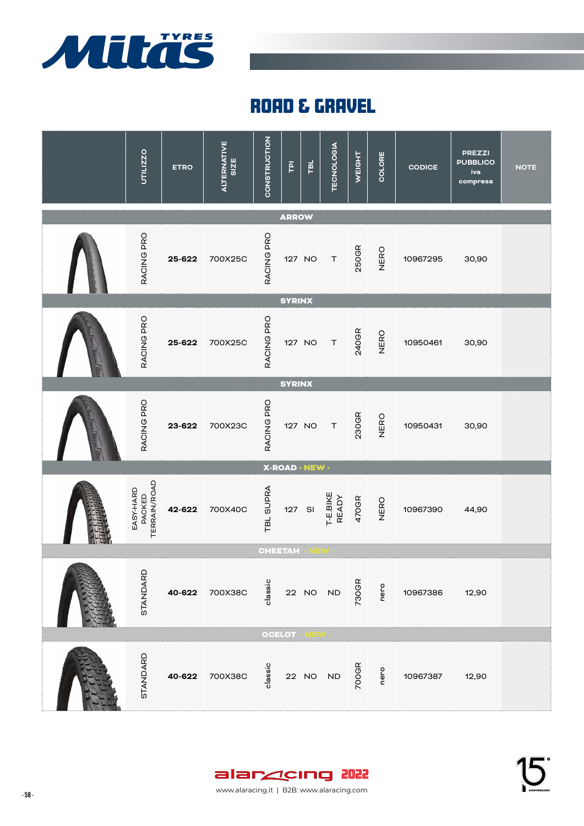

## **ROAD & GRAVEL**

| UTILIZZO                                   | <b>ETRO</b> | <b>ALTERNATIVE</b><br>SIZE | CONSTRUCTION        | $\overline{\mathsf{P}}$ | ᇛ                     | <b>TECNOLOGIA</b> | WEIGHT | COLORE | <b>CODICE</b> | <b>PREZZI</b><br><b>PUBBLICO</b><br>iva<br>compresa | <b>NOTE</b> |
|--------------------------------------------|-------------|----------------------------|---------------------|-------------------------|-----------------------|-------------------|--------|--------|---------------|-----------------------------------------------------|-------------|
|                                            |             |                            |                     | <b>ARROW</b>            |                       |                   |        |        |               |                                                     |             |
| RACING PRO                                 | 25-622      | 700X25C                    | RACING PRO          | 127 NO                  |                       | $\top$            | 250GR  | NERO   | 10967295      | 30,90                                               |             |
|                                            |             |                            |                     | <b>SYRINX</b>           |                       |                   |        |        |               |                                                     |             |
| RACING PRO                                 | 25-622      | 700X25C                    | RACING PRO          | 127 NO                  |                       | $\top$            | 240GR  | NERO   | 10950461      | 30,90                                               |             |
|                                            |             |                            |                     | <b>SYRINX</b>           |                       |                   |        |        |               |                                                     |             |
| RACING PRO                                 | 23-622      | 700X23C                    | RACING PRO          | 127 NO                  |                       | $\top$            | 230GR  | NERO   | 10950431      | 30,90                                               |             |
|                                            |             |                            |                     |                         | <b>X-ROAD · NEW ·</b> |                   |        |        |               |                                                     |             |
| <b>TERRAIN/ROAD</b><br>EASY-HARD<br>PACKED | 42-622      | 700X40C                    | <b>SUPRA</b><br>TBL | 127                     | SI                    | T-E.BIKE<br>READY | 470GR  | NERO   | 10967390      | 44,90                                               |             |
|                                            |             |                            | <b>CHEETAH</b>      |                         |                       |                   |        |        |               |                                                     |             |
| STANDARD                                   |             | 40-622 700X38C             | classic             |                         |                       | 22 NO ND          | 730GR  | nero   | 10967386      | 12,90                                               |             |
|                                            |             |                            | <b>OCELOT</b>       |                         |                       |                   |        |        |               |                                                     |             |
| STANDARD                                   |             | 40-622 700X38C             | classic             |                         | 22 NO                 | <b>ND</b>         | 700GR  | nero   | 10967387      | 12,90                                               |             |

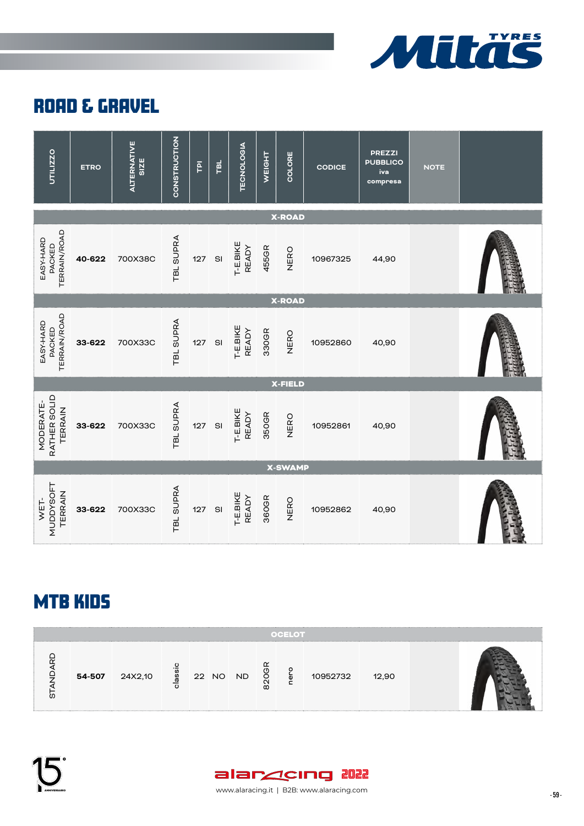

#### **ROAD & GRAVEL**



### MTB KIDS

|        |         |    |       |           |   | <b>OCELOT</b> |          |       |  |
|--------|---------|----|-------|-----------|---|---------------|----------|-------|--|
| 54-507 | 24X2,10 | ទី | 22 NO | <b>ND</b> | ŏ | ō             | 10952732 | 12,90 |  |

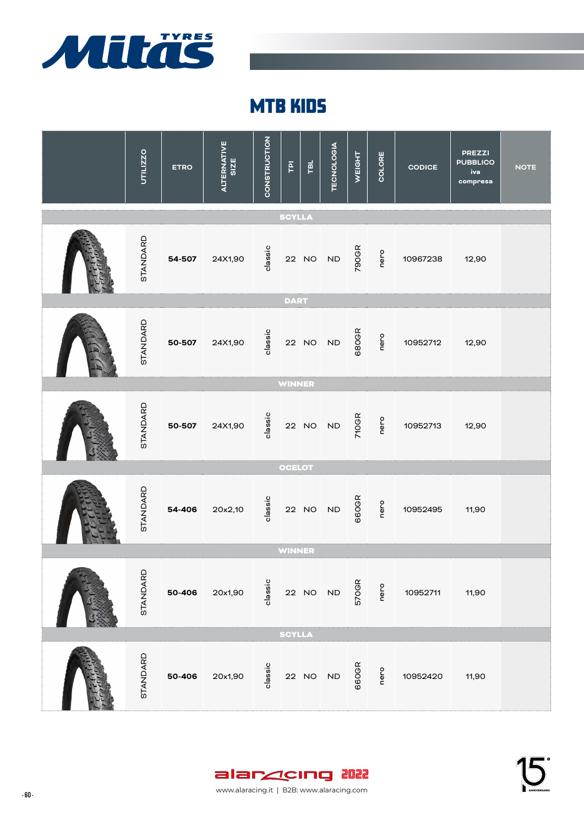

### MTB KIDS

| UTILIZZO | <b>ETRO</b> | <b>ALTERNATIVE</b><br>SIZE | CONSTRUCTION | $\overline{P}$ | TBL   | <b>TECNOLOGIA</b> | WEIGHT | COLORE | <b>CODICE</b> | <b>PREZZI</b><br><b>PUBBLICO</b><br>iva<br>compresa | <b>NOTE</b> |
|----------|-------------|----------------------------|--------------|----------------|-------|-------------------|--------|--------|---------------|-----------------------------------------------------|-------------|
|          |             |                            |              | <b>SCYLLA</b>  |       |                   |        |        |               |                                                     |             |
| STANDARD | 54-507      | 24X1,90                    | classic      |                | 22 NO | <b>ND</b>         | 790GR  | nero   | 10967238      | 12,90                                               |             |
|          |             |                            |              | <b>DART</b>    |       |                   |        |        |               |                                                     |             |
| STANDARD | 50-507      | 24X1,90                    | classic      |                | 22 NO | <b>ND</b>         | 680GR  | nero   | 10952712      | 12,90                                               |             |
|          |             |                            |              | <b>WINNER</b>  |       |                   |        |        |               |                                                     |             |
| STANDARD | 50-507      | 24X1,90                    | classic      |                | 22 NO | <b>ND</b>         | 710GR  | nero   | 10952713      | 12,90                                               |             |
|          |             |                            |              | <b>OCELOT</b>  |       |                   |        |        |               |                                                     |             |
| STANDARD | 54-406      | 20x2,10                    | classic      |                | 22 NO | <b>ND</b>         | 660GR  | nero   | 10952495      | 11,90                                               |             |
|          |             |                            |              | <b>WINNER</b>  |       |                   |        |        |               |                                                     |             |
| STANDARD | 50-406      | 20x1,90                    | classic      |                |       | 22 NO ND          | 570GR  | nero   | 10952711      | 11,90                                               |             |
|          |             |                            |              | <b>SCYLLA</b>  |       |                   |        |        |               |                                                     |             |
| STANDARD | 50-406      | 20x1,90                    | classic      |                | 22 NO | ${\sf ND}$        | 660GR  | nero   | 10952420      | 11,90                                               |             |

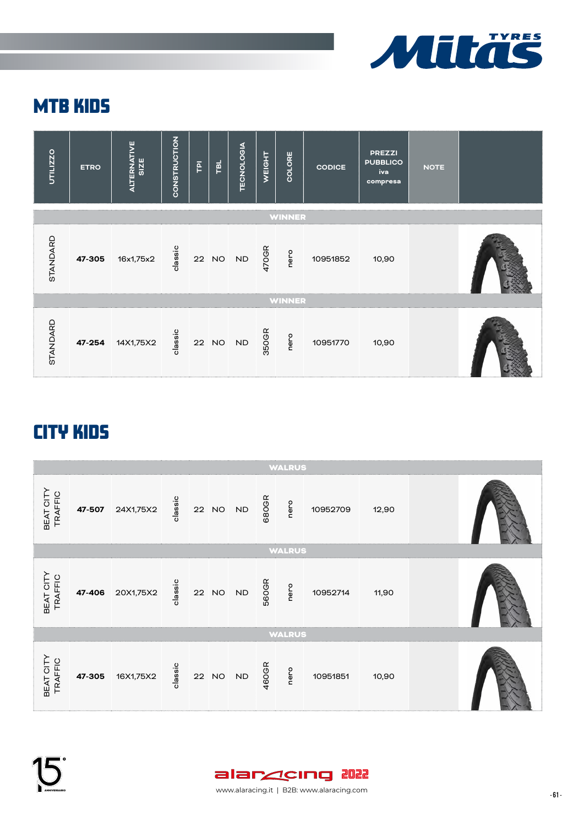

## MTB KIDS



## CITY KIDS

|                      |        |                  |         |       |           |       | <b>WALRUS</b> |          |       |  |
|----------------------|--------|------------------|---------|-------|-----------|-------|---------------|----------|-------|--|
| BEAT CITY<br>TRAFFIC | 47-507 | 24X1,75X2        | classic |       | 22 NO ND  | 680GR | nero          | 10952709 | 12,90 |  |
|                      |        |                  |         |       |           |       | <b>WALRUS</b> |          |       |  |
| BEAT CITY<br>TRAFFIC |        | 47-406 20X1,75X2 | classic |       | 22 NO ND  | 560GR | nero          | 10952714 | 11,90 |  |
|                      |        |                  |         |       |           |       | <b>WALRUS</b> |          |       |  |
| BEAT CITY<br>TRAFFIC | 47-305 | 16X1,75X2        | classic | 22 NO | <b>ND</b> | 460GR | nero          | 10951851 | 10,90 |  |



www.alaracing.it | B2B: www.alaracing.com 401-1000 - 61-1000 - 61-1000 - 61-1000 - 61-1000 - 61-1000 - 61-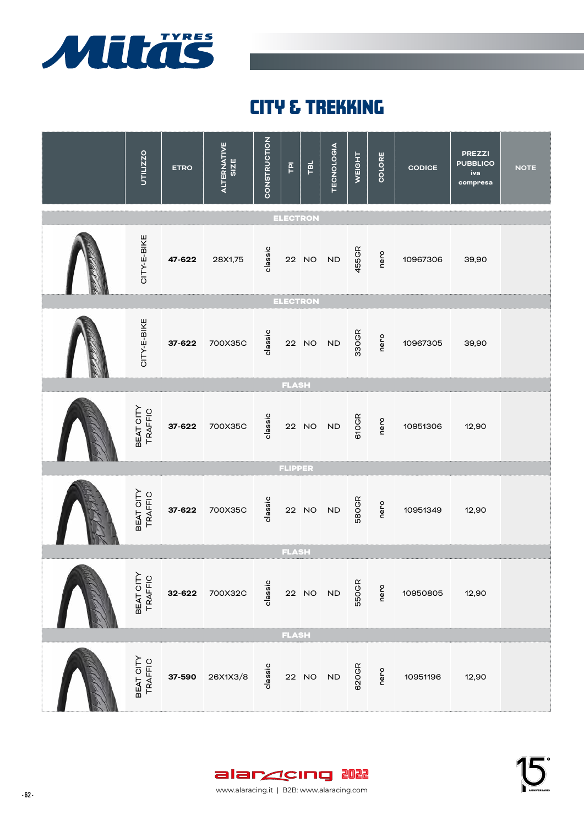

## CITY & TREKKING



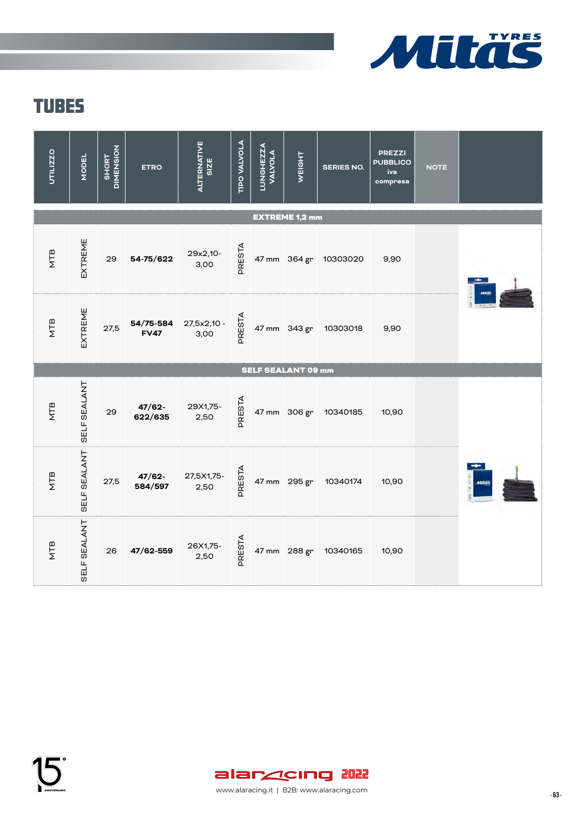

| UTILIZZO   | <b>MODEL</b> | <b>DIMENSION</b><br><b>SHORT</b> | <b>ETRO</b>              | <b>ALTERNATIVE</b><br><b>SIZE</b> | TIPO VALVOLA | <b>LUNGHEZZA</b><br><b>VALVOLA</b> | WEIGHT                    | <b>SERIES NO.</b>     | <b>PREZZI</b><br><b>PUBBLICO</b><br>iva<br>compresa | <b>NOTE</b> |  |
|------------|--------------|----------------------------------|--------------------------|-----------------------------------|--------------|------------------------------------|---------------------------|-----------------------|-----------------------------------------------------|-------------|--|
|            |              |                                  |                          |                                   |              |                                    | <b>EXTREME 1,2 mm</b>     |                       |                                                     |             |  |
| NTB        | EXTREME      | 29                               | 54-75/622                | 29x2,10-<br>3,00                  | PRESTA       |                                    |                           | 47 mm 364 gr 10303020 | 9,90                                                |             |  |
| <b>ATB</b> | EXTREME      | 27,5                             | 54/75-584<br><b>FV47</b> | 27,5x2,10 -<br>3,00               | PRESTA       |                                    |                           | 47 mm 343 gr 10303018 | 9,90                                                |             |  |
|            |              |                                  |                          |                                   |              |                                    | <b>SELF SEALANT 09 mm</b> |                       |                                                     |             |  |
| NTB        | SELF SEALANT | 29                               | $47/62 -$<br>622/635     | 29X1,75-<br>2,50                  | PRESTA       |                                    |                           | 47 mm 306 gr 10340185 | 10,90                                               |             |  |
| <b>ATB</b> | SELF SEALANT | 27,5                             | $47/62 -$<br>584/597     | 27,5X1,75-<br>2,50                | PRESTA       |                                    |                           | 47 mm 295 gr 10340174 | 10,90                                               |             |  |
| <b>NTB</b> | SELF SEALANT | 26                               | 47/62-559                | 26X1,75-<br>2,50                  | PRESTA       |                                    | 47 mm 288 gr              | 10340165              | 10,90                                               |             |  |

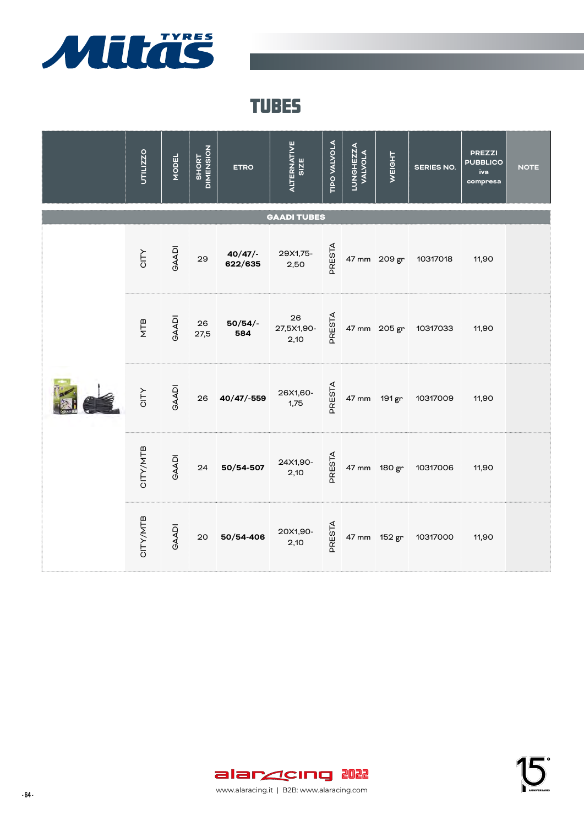

| UTILIZZO        | <b>MODEL</b> | SHORT<br>DIMENSION | <b>ETRO</b>       | ALTERNATIVE<br><b>SIZE</b> | TIPO VALVOLA | <b>LUNGHEZZA</b><br><b>VALVOLA</b> | <b>WEIGHT</b> | <b>SERIES NO.</b>     | <b>PREZZI</b><br><b>PUBBLICO</b><br>iva<br>compresa | <b>NOTE</b> |
|-----------------|--------------|--------------------|-------------------|----------------------------|--------------|------------------------------------|---------------|-----------------------|-----------------------------------------------------|-------------|
|                 |              |                    |                   | <b>GAADI TUBES</b>         |              |                                    |               |                       |                                                     |             |
| CITY            | <b>GAADI</b> | 29                 | 40/47/<br>622/635 | 29X1,75-<br>2,50           | PRESTA       |                                    |               | 47 mm 209 gr 10317018 | 11,90                                               |             |
| NTB             | <b>GAADI</b> | 26<br>27,5         | $50/54/$ -<br>584 | 26<br>27,5X1,90-<br>2,10   | PRESTA       |                                    |               | 47 mm 205 gr 10317033 | 11,90                                               |             |
| CITY            | <b>GAADI</b> | 26                 | $40/47/-559$      | 26X1,60-<br>1,75           | PRESTA       |                                    |               | 47 mm 191 gr 10317009 | 11,90                                               |             |
| <b>CITY/MTB</b> | <b>GAADI</b> | 24                 | 50/54-507         | 24X1,90-<br>2,10           | PRESTA       |                                    |               | 47 mm 180 gr 10317006 | 11,90                                               |             |
| CITY/MTB        | <b>GAADI</b> | 20                 | 50/54-406         | 20X1,90-<br>2,10           | PRESTA       |                                    |               | 47 mm 152 gr 10317000 | 11,90                                               |             |

15<sup>°</sup>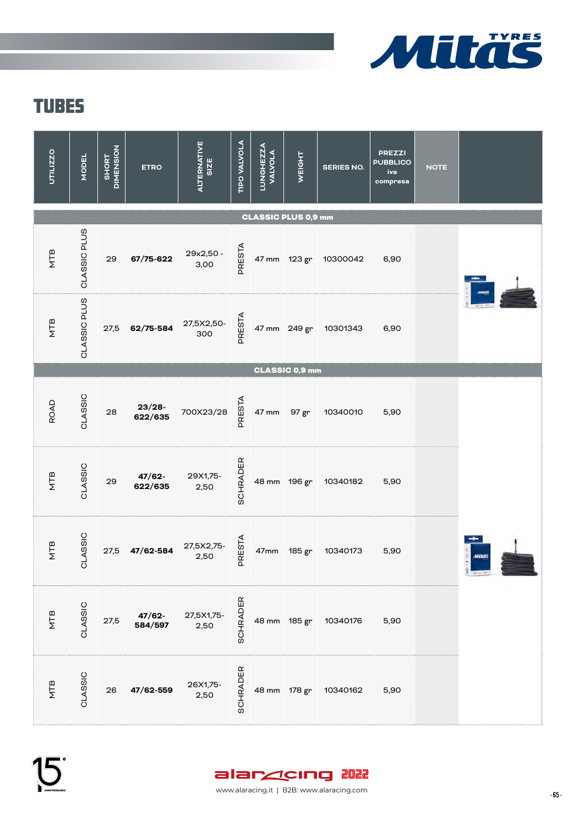

| UTILIZZO                   | <b>MODEL</b> | <b>DIMENSION</b><br><b>SHORT</b> | <b>ETRO</b>          | ALTERNATIVE<br><b>SIZE</b> | <b>TIPO VALVOLA</b> | <b>LUNGHEZZA</b><br><b>VALVOLA</b> | WEIGHT | <b>SERIES NO.</b>     | <b>PREZZI</b><br><b>PUBBLICO</b><br>iva<br>compresa | <b>NOTE</b> |                  |
|----------------------------|--------------|----------------------------------|----------------------|----------------------------|---------------------|------------------------------------|--------|-----------------------|-----------------------------------------------------|-------------|------------------|
| <b>CLASSIC PLUS 0,9 mm</b> |              |                                  |                      |                            |                     |                                    |        |                       |                                                     |             |                  |
| NTB                        | CLASSIC PLUS | 29                               | 67/75-622            | 29x2,50 -<br>3,00          | PRESTA              |                                    |        | 47 mm 123 gr 10300042 | 6,90                                                |             |                  |
| NTB                        | CLASSIC PLUS | 27,5                             | 62/75-584            | 27,5X2,50-<br>300          | PRESTA              |                                    |        | 47 mm 249 gr 10301343 | 6,90                                                |             |                  |
| CLASSIC 0,9 mm             |              |                                  |                      |                            |                     |                                    |        |                       |                                                     |             |                  |
| <b>ROAD</b>                | CLASSIC      | 28                               | $23/28 -$<br>622/635 | 700X23/28                  | <b>PRESTA</b>       | 47 mm                              | 97 gr  | 10340010              | 5,90                                                |             |                  |
| <b>NTB</b>                 | CLASSIC      | 29                               | $47/62 -$<br>622/635 | 29X1,75-<br>2,50           | SCHRADER            |                                    |        | 48 mm 196 gr 10340182 | 5,90                                                |             |                  |
| <b>NTB</b>                 | CLASSIC      | 27,5                             | 47/62-584            | 27,5X2,75-<br>2,50         | PRESTA              | 47mm                               | 185 gr | 10340173              | 5,90                                                |             | Mitas<br>$-7.92$ |
| <b>ALB</b>                 | CLASSIC      | 27,5                             | 47/62-<br>584/597    | 27,5X1,75-<br>2,50         | SCHRADER            |                                    |        | 48 mm 185 gr 10340176 | 5,90                                                |             |                  |
| <b>ATB</b>                 | CLASSIC      | 26                               | 47/62-559            | 26X1,75-<br>2,50           | SCHRADER            | 48 mm 178 gr                       |        | 10340162              | 5,90                                                |             |                  |